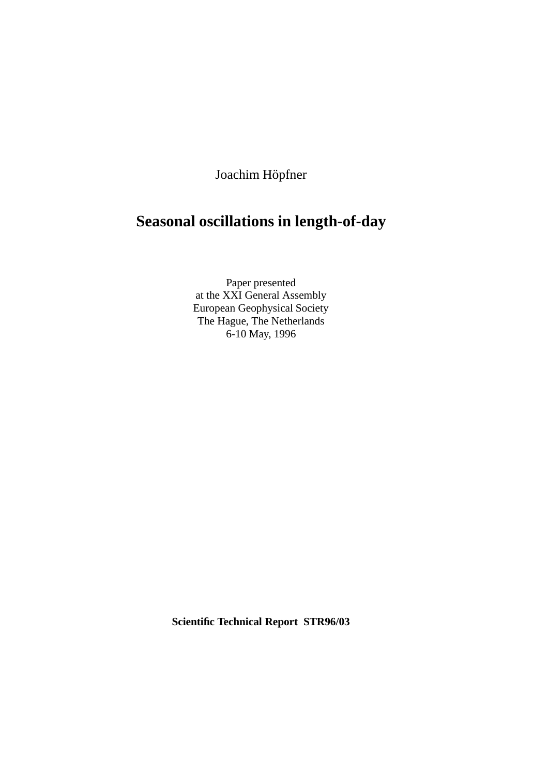Joachim Höpfner

# **Seasonal oscillations in length-of-day**

Paper presented at the XXI General Assembly European Geophysical Society The Hague, The Netherlands 6-10 May, 1996

**Scientific Technical Report STR96/03**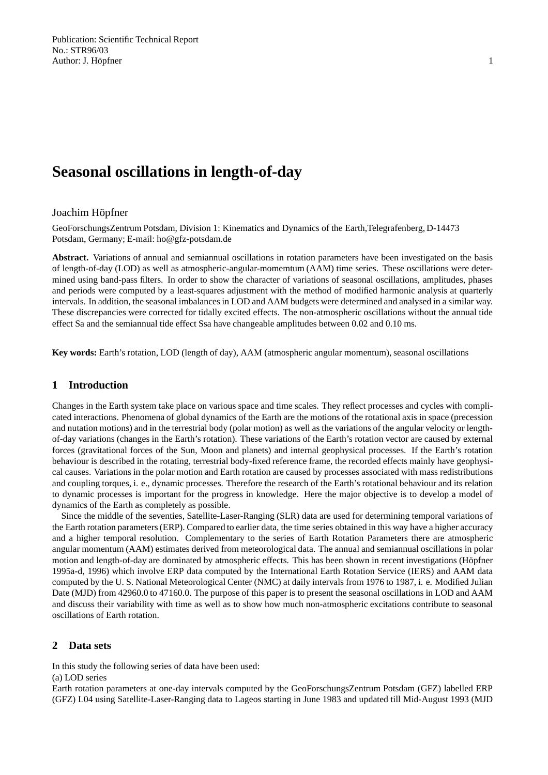# **Seasonal oscillations in length-of-day**

## Joachim Höpfner

GeoForschungsZentrum Potsdam, Division 1: Kinematics and Dynamics of the Earth,Telegrafenberg, D-14473 Potsdam, Germany; E-mail: ho@gfz-potsdam.de

**Abstract.** Variations of annual and semiannual oscillations in rotation parameters have been investigated on the basis of length-of-day (LOD) as well as atmospheric-angular-momemtum (AAM) time series. These oscillations were determined using band-pass filters. In order to show the character of variations of seasonal oscillations, amplitudes, phases and periods were computed by a least-squares adjustment with the method of modified harmonic analysis at quarterly intervals. In addition, the seasonal imbalances in LOD and AAM budgets were determined and analysed in a similar way. These discrepancies were corrected for tidally excited effects. The non-atmospheric oscillations without the annual tide effect Sa and the semiannual tide effect Ssa have changeable amplitudes between 0.02 and 0.10 ms.

**Key words:** Earth's rotation, LOD (length of day), AAM (atmospheric angular momentum), seasonal oscillations

# **1 Introduction**

Changes in the Earth system take place on various space and time scales. They reflect processes and cycles with complicated interactions. Phenomena of global dynamics of the Earth are the motions of the rotational axis in space (precession and nutation motions) and in the terrestrial body (polar motion) as well as the variations of the angular velocity or lengthof-day variations (changes in the Earth's rotation). These variations of the Earth's rotation vector are caused by external forces (gravitational forces of the Sun, Moon and planets) and internal geophysical processes. If the Earth's rotation behaviour is described in the rotating, terrestrial body-fixed reference frame, the recorded effects mainly have geophysical causes. Variations in the polar motion and Earth rotation are caused by processes associated with mass redistributions and coupling torques, i. e., dynamic processes. Therefore the research of the Earth's rotational behaviour and its relation to dynamic processes is important for the progress in knowledge. Here the major objective is to develop a model of dynamics of the Earth as completely as possible.

Since the middle of the seventies, Satellite-Laser-Ranging (SLR) data are used for determining temporal variations of the Earth rotation parameters (ERP). Compared to earlier data, the time series obtained in this way have a higher accuracy and a higher temporal resolution. Complementary to the series of Earth Rotation Parameters there are atmospheric angular momentum (AAM) estimates derived from meteorological data. The annual and semiannual oscillations in polar motion and length-of-day are dominated by atmospheric effects. This has been shown in recent investigations (Höpfner 1995a-d, 1996) which involve ERP data computed by the International Earth Rotation Service (IERS) and AAM data computed by the U. S. National Meteorological Center (NMC) at daily intervals from 1976 to 1987, i. e. Modified Julian Date (MJD) from 42960.0 to 47160.0. The purpose of this paper is to present the seasonal oscillations in LOD and AAM and discuss their variability with time as well as to show how much non-atmospheric excitations contribute to seasonal oscillations of Earth rotation.

## **2 Data sets**

In this study the following series of data have been used:

(a) LOD series

Earth rotation parameters at one-day intervals computed by the GeoForschungsZentrum Potsdam (GFZ) labelled ERP (GFZ) L04 using Satellite-Laser-Ranging data to Lageos starting in June 1983 and updated till Mid-August 1993 (MJD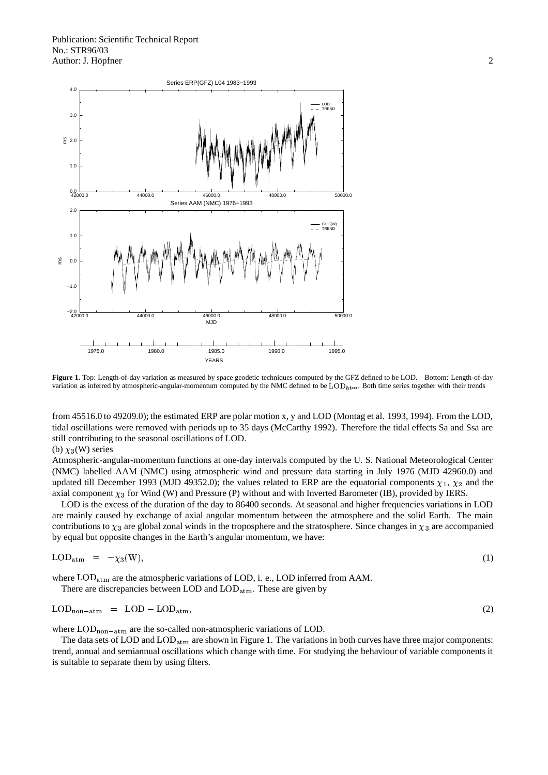

**Figure 1.** Top: Length-of-day variation as measured by space geodetic techniques computed by the GFZ defined to be LOD. Bottom: Length-of-day variation as inferred by atmospheric-angular-momentum computed by the NMC defined to be  $\text{LOD}_{\text{atm}}$ . Both time series together with their trends

from 45516.0 to 49209.0); the estimated ERP are polar motion x, y and LOD (Montag et al. 1993, 1994). From the LOD, tidal oscillations were removed with periods up to 35 days (McCarthy 1992). Therefore the tidal effects Sa and Ssa are still contributing to the seasonal oscillations of LOD.

#### (b)  $\chi_3$ (W) series

Atmospheric-angular-momentum functions at one-day intervals computed by the U. S. National Meteorological Center (NMC) labelled AAM (NMC) using atmospheric wind and pressure data starting in July 1976 (MJD 42960.0) and updated till December 1993 (MJD 49352.0); the values related to ERP are the equatorial components  $\chi_1$ ,  $\chi_2$  and the axial component  $\chi_3$  for Wind (W) and Pressure (P) without and with Inverted Barometer (IB), provided by IERS.

LOD is the excess of the duration of the day to 86400 seconds. At seasonal and higher frequencies variations in LOD are mainly caused by exchange of axial angular momentum between the atmosphere and the solid Earth. The main contributions to  $\chi_3$  are global zonal winds in the troposphere and the stratosphere. Since changes in  $\chi_3$  are accompanied by equal but opposite changes in the Earth's angular momentum, we have:

$$
LOD_{\text{atm}} = -\chi_3(W), \tag{1}
$$

where  $\text{LOD}_{\text{atm}}$  are the atmospheric variations of LOD, i. e., LOD inferred from AAM. There are discrepancies between LOD and  $\text{LOD}_{\text{atm}}$ . These are given by

$$
IOD \qquad IOD \qquad IOD
$$

$$
LOD_{non-atm} = LOD - LOD_{atm}, \qquad (2)
$$

where  $\text{LOD}_{\text{non-atm}}$  are the so-called non-atmospheric variations of LOD.

The data sets of LOD and  $\text{LOD}_{\text{atm}}$  are shown in Figure 1. The variations in both curves have three major components: trend, annual and semiannual oscillations which change with time. For studying the behaviour of variable components it is suitable to separate them by using filters.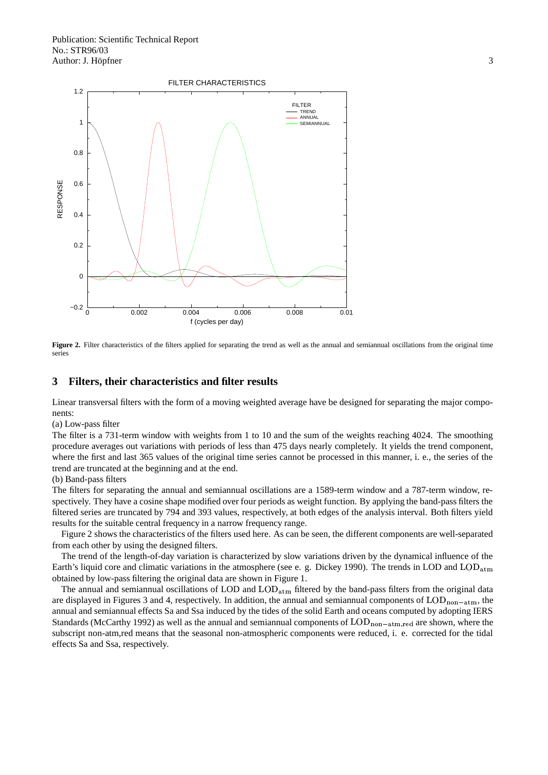

Figure 2. Filter characteristics of the filters applied for separating the trend as well as the annual and semiannual oscillations from the original time series

# **3 Filters, their characteristics and filter results**

Linear transversal filters with the form of a moving weighted average have be designed for separating the major components:

(a) Low-pass filter

The filter is a 731-term window with weights from 1 to 10 and the sum of the weights reaching 4024. The smoothing procedure averages out variations with periods of less than 475 days nearly completely. It yields the trend component, where the first and last 365 values of the original time series cannot be processed in this manner, i. e., the series of the trend are truncated at the beginning and at the end.

(b) Band-pass filters

The filters for separating the annual and semiannual oscillations are a 1589-term window and a 787-term window, respectively. They have a cosine shape modified over four periods as weight function. By applying the band-pass filters the filtered series are truncated by 794 and 393 values, respectively, at both edges of the analysis interval. Both filters yield results for the suitable central frequency in a narrow frequency range.

Figure 2 shows the characteristics of the filters used here. As can be seen, the different components are well-separated from each other by using the designed filters.

The trend of the length-of-day variation is characterized by slow variations driven by the dynamical influence of the Earth's liquid core and climatic variations in the atmosphere (see e. g. Dickey 1990). The trends in LOD and  $\text{LOD}_{\text{atm}}$ obtained by low-pass filtering the original data are shown in Figure 1.

The annual and semiannual oscillations of LOD and  $\text{LOD}_{\text{atm}}$  filtered by the band-pass filters from the original data are displayed in Figures 3 and 4, respectively. In addition, the annual and semiannual components of  $\text{LOD}_{\text{non-atm}}$ , the annual and semiannual effects Sa and Ssa induced by the tides of the solid Earth and oceans computed by adopting IERS Standards (McCarthy 1992) as well as the annual and semiannual components of  $\text{LOD}_{\text{non-atm, red}}$  are shown, where the subscript non-atm,red means that the seasonal non-atmospheric components were reduced, i. e. corrected for the tidal effects Sa and Ssa, respectively.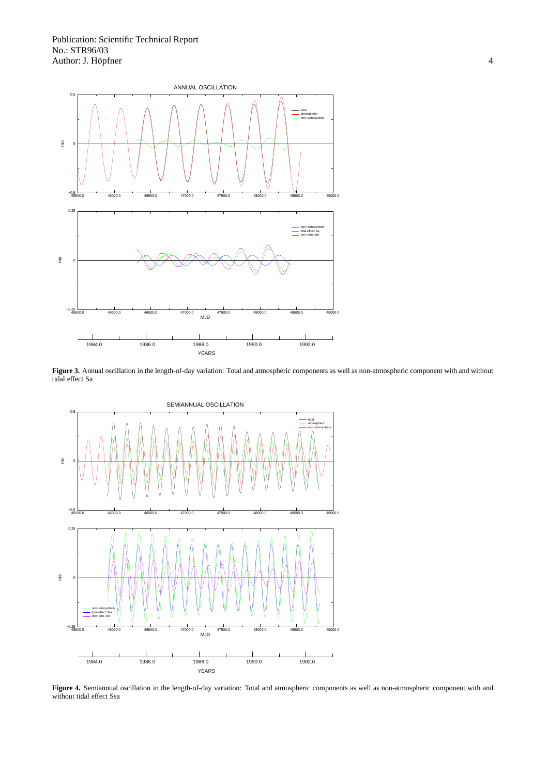

**Figure 3.** Annual oscillation in the length-of-day variation: Total and atmospheric components as well as non-atmospheric component with and without tidal effect Sa



**Figure 4.** Semiannual oscillation in the length-of-day variation: Total and atmospheric components as well as non-atmospheric component with and without tidal effect Ssa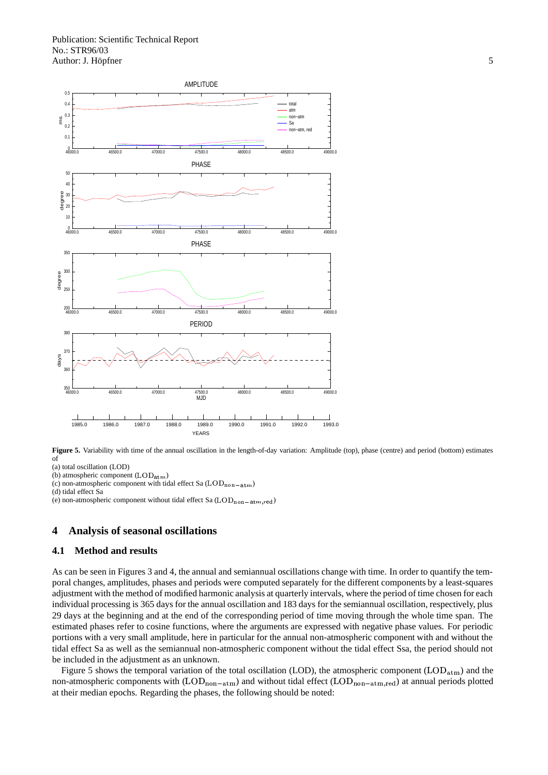



- (a) total oscillation (LOD)
- (b) atmospheric component  $(LOD_{\text{atm}})$
- (c) non-atmospheric component with tidal effect Sa  $(LOD_{\text{non-atm}})$
- (d) tidal effect Sa
- (e) non-atmospheric component without tidal effect Sa  $(LOD_{\text{non-atm,red}})$

# **4 Analysis of seasonal oscillations**

#### **4.1 Method and results**

As can be seen in Figures 3 and 4, the annual and semiannual oscillations change with time. In order to quantify the temporal changes, amplitudes, phases and periods were computed separately for the different components by a least-squares adjustment with the method of modified harmonic analysis at quarterly intervals, where the period of time chosen for each individual processing is 365 days for the annual oscillation and 183 days for the semiannual oscillation, respectively, plus 29 days at the beginning and at the end of the corresponding period of time moving through the whole time span. The estimated phases refer to cosine functions, where the arguments are expressed with negative phase values. For periodic portions with a very small amplitude, here in particular for the annual non-atmospheric component with and without the tidal effect Sa as well as the semiannual non-atmospheric component without the tidal effect Ssa, the period should not be included in the adjustment as an unknown.

Figure 5 shows the temporal variation of the total oscillation (LOD), the atmospheric component (LOD<sub>atm</sub>) and the non-atmospheric components with  $(LOD_{\text{non-atm}})$  and without tidal effect  $(LOD_{\text{non-atm,red}})$  at annual periods plotted at their median epochs. Regarding the phases, the following should be noted: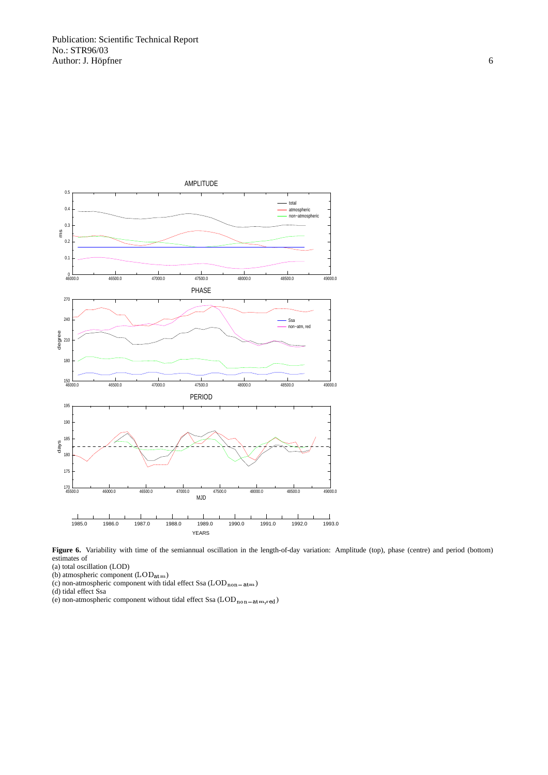

Figure 6. Variability with time of the semiannual oscillation in the length-of-day variation: Amplitude (top), phase (centre) and period (bottom) estimates of

(a) total oscillation (LOD)

(b) atmospheric component  $(LOD_{\text{atm}})$ 

(c) non-atmospheric component with tidal effect Ssa  $(LOD_{\text{non-atm}})$ 

(d) tidal effect Ssa

(e) non-atmospheric component without tidal effect Ssa  $(LOD_{\text{non-atm,red}})$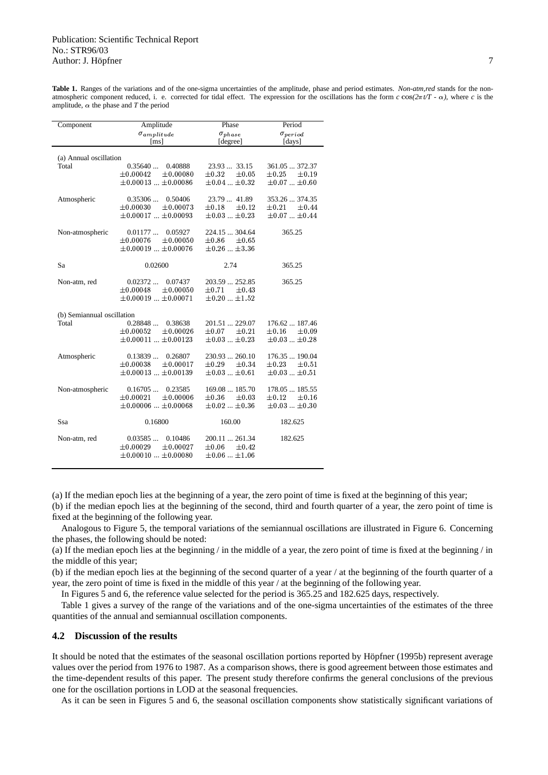**Table 1.** Ranges of the variations and of the one-sigma uncertainties of the amplitude, phase and period estimates. *Non-atm,red* stands for the nonatmospheric component reduced, i. e. corrected for tidal effect. The expression for the oscillations has the form  $c \cos(2\pi t/T - \alpha)$ , where *c* is the amplitude,  $\alpha$  the phase and *T* the period

| Component                  | Amplitude                                            | Phase                                             | Period                                     |
|----------------------------|------------------------------------------------------|---------------------------------------------------|--------------------------------------------|
|                            | $\sigma_{amplitude}$<br>$\lceil ms \rceil$           | $\sigma_{phase}$<br>[degree]                      | $\sigma_{period}$<br>[days]                |
| (a) Annual oscillation     |                                                      |                                                   |                                            |
| Total                      | 0.35640<br>0.40888<br>$\pm 0.00042$<br>±0.00080      | 23.9333.15<br>$\pm 0.05$<br>$\pm 0.32$            | 361.05  372.37<br>$\pm 0.25$<br>$\pm 0.19$ |
|                            | $\pm 0.00013$ $\pm 0.00086$                          | $\pm 0.04$ $\pm 0.32$                             | $\pm 0.07  \pm 0.60$                       |
| Atmospheric                | 0.35306<br>0.50406                                   | 23.79  41.89                                      | 353.26  374.35                             |
|                            | ±0.00030<br>$\pm 0.00073$                            | $\pm 0.18$<br>$\pm 0.12$                          | $\pm 0.21$<br>±0.44                        |
|                            | $\pm 0.00017 \pm 0.00093$                            | $\pm 0.03$ $\pm 0.23$                             | $\pm0.07$ $$ $\pm0.44$                     |
| Non-atmospheric            | 0.01177<br>0.05927                                   | 224.15  304.64                                    | 365.25                                     |
|                            | ±0.00076<br>± 0.00050<br>$\pm 0.00019$ $\pm 0.00076$ | $\pm 0.86$<br>$\pm 0.65$<br>$\pm 0.26$ $\pm 3.36$ |                                            |
|                            |                                                      |                                                   |                                            |
| Sa                         | 0.02600                                              | 2.74                                              | 365.25                                     |
| Non-atm, red               | 0.02372<br>0.07437                                   | 203.59  252.85                                    | 365.25                                     |
|                            | ±0.00048<br>$\pm 0.00050$                            | $\pm 0.71$<br>$\pm 0.43$                          |                                            |
|                            | $\pm 0.00019$ $\pm 0.00071$                          | $\pm 0.20$ $\pm 1.52$                             |                                            |
| (b) Semiannual oscillation |                                                      |                                                   |                                            |
| Total                      | 0.28848<br>0.38638<br>$\pm 0.00052$<br>$\pm 0.00026$ | 201.51  229.07<br>$\pm 0.21$<br>$\pm 0.07$        | 176.62  187.46<br>$\pm 0.09$<br>$\pm 0.16$ |
|                            | $\pm 0.00011$ $\pm 0.00123$                          | $\pm 0.03$ $\pm 0.23$                             | $\pm 0.03$ $\pm 0.28$                      |
|                            |                                                      |                                                   |                                            |
| Atmospheric                | 0.13839<br>0.26807<br>±0.00038<br>±0.00017           | 230.93  260.10<br>$\pm 0.29$<br>$\pm 0.34$        | 176.35  190.04<br>$\pm 0.23$<br>$\pm 0.51$ |
|                            | $\pm 0.00013$ $\pm 0.00139$                          | $\pm 0.03$ $\pm 0.61$                             | $\pm 0.03$ $\pm 0.51$                      |
| Non-atmospheric            | 0.16705<br>0.23585                                   | 169.08  185.70                                    | 178.05  185.55                             |
|                            | ±0.00021<br>$\pm 0.00006$                            | $\pm 0.36$<br>$\pm 0.03$                          | $\pm 0.12$<br>$\pm 0.16$                   |
|                            | $\pm 0.00006$ $\pm 0.00068$                          | $\pm 0.02$ $\pm 0.36$                             | $\pm 0.03$ $\pm 0.30$                      |
| Ssa                        | 0.16800                                              | 160.00                                            | 182.625                                    |
| Non-atm, red               | 0.03585<br>0.10486                                   | 200.11  261.34                                    | 182.625                                    |
|                            | $\pm 0.00029$<br>$\pm 0.00027$                       | $\pm 0.06$<br>$\pm 0.42$                          |                                            |
|                            | $\pm 0.00010 \pm 0.00080$                            | $\pm 0.06  \pm 1.06$                              |                                            |

(a) If the median epoch lies at the beginning of a year, the zero point of time is fixed at the beginning of this year;

(b) if the median epoch lies at the beginning of the second, third and fourth quarter of a year, the zero point of time is fixed at the beginning of the following year.

Analogous to Figure 5, the temporal variations of the semiannual oscillations are illustrated in Figure 6. Concerning the phases, the following should be noted:

(a) If the median epoch lies at the beginning / in the middle of a year, the zero point of time is fixed at the beginning / in the middle of this year;

(b) if the median epoch lies at the beginning of the second quarter of a year / at the beginning of the fourth quarter of a year, the zero point of time is fixed in the middle of this year / at the beginning of the following year.

In Figures 5 and 6, the reference value selected for the period is 365.25 and 182.625 days, respectively.

Table 1 gives a survey of the range of the variations and of the one-sigma uncertainties of the estimates of the three quantities of the annual and semiannual oscillation components.

#### **4.2 Discussion of the results**

It should be noted that the estimates of the seasonal oscillation portions reported by Höpfner (1995b) represent average values over the period from 1976 to 1987. As a comparison shows, there is good agreement between those estimates and the time-dependent results of this paper. The present study therefore confirms the general conclusions of the previous one for the oscillation portions in LOD at the seasonal frequencies.

As it can be seen in Figures 5 and 6, the seasonal oscillation components show statistically significant variations of